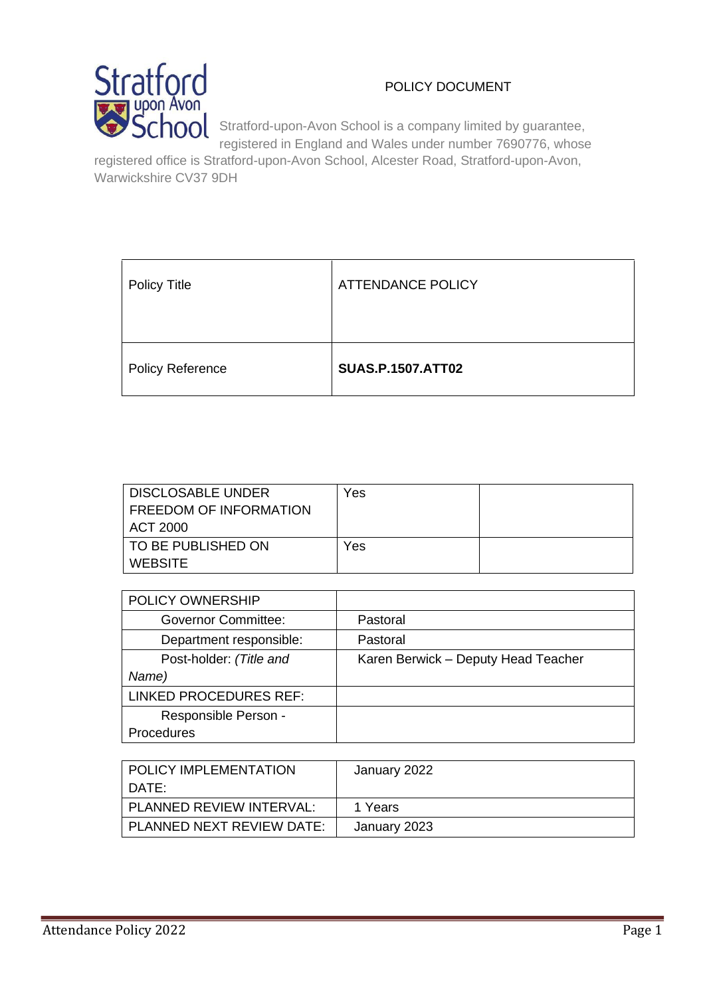# POLICY DOCUMENT



Stratford-upon-Avon School is a company limited by guarantee, registered in England and Wales under number 7690776, whose

registered office is Stratford-upon-Avon School, Alcester Road, Stratford-upon-Avon, Warwickshire CV37 9DH

| <b>Policy Title</b>     | <b>ATTENDANCE POLICY</b> |
|-------------------------|--------------------------|
| <b>Policy Reference</b> | <b>SUAS.P.1507.ATT02</b> |

| DISCLOSABLE UNDER         | Yes |  |
|---------------------------|-----|--|
| FREEDOM OF INFORMATION    |     |  |
| ACT 2000                  |     |  |
| <b>TO BE PUBLISHED ON</b> | Yes |  |
| WEBSITE                   |     |  |

| POLICY OWNERSHIP              |                                     |
|-------------------------------|-------------------------------------|
| <b>Governor Committee:</b>    | Pastoral                            |
| Department responsible:       | Pastoral                            |
| Post-holder: (Title and       | Karen Berwick - Deputy Head Teacher |
| Name)                         |                                     |
| <b>LINKED PROCEDURES REF:</b> |                                     |
| Responsible Person -          |                                     |
| Procedures                    |                                     |

| I POLICY IMPLEMENTATION   | January 2022 |
|---------------------------|--------------|
| DATE:                     |              |
| PLANNED REVIEW INTERVAL:  | 1 Years      |
| PLANNED NEXT REVIEW DATE: | January 2023 |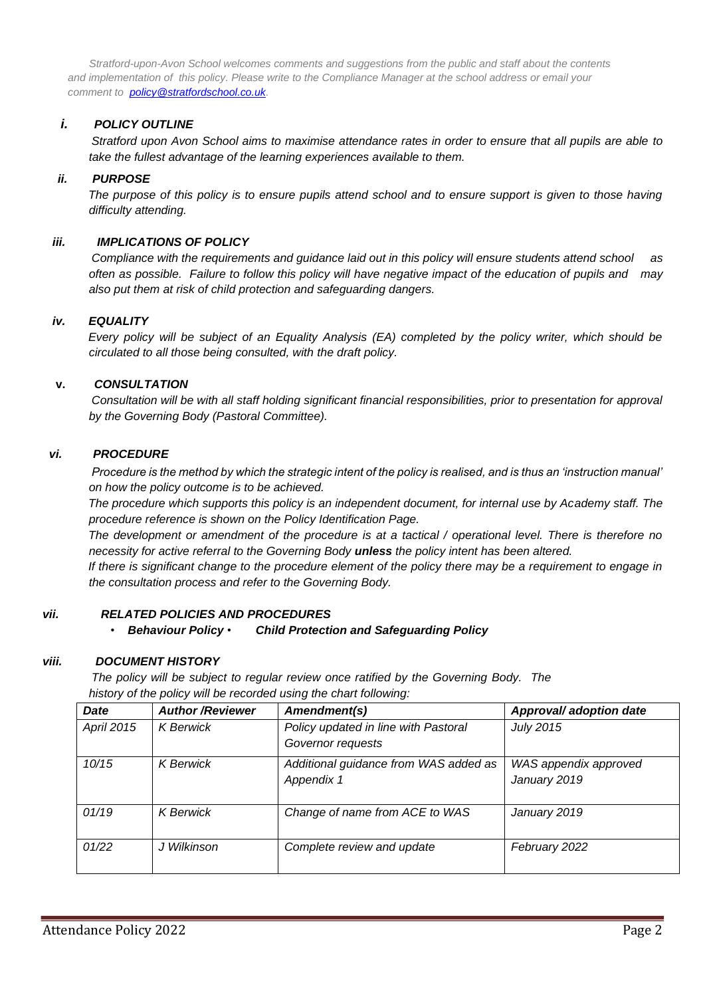*Stratford-upon-Avon School welcomes comments and suggestions from the public and staff about the contents and implementation of this policy. Please write to the Compliance Manager at the school address or email your comment to policy@stratfordschool.co.uk.* 

#### *i. POLICY OUTLINE*

*Stratford upon Avon School aims to maximise attendance rates in order to ensure that all pupils are able to take the fullest advantage of the learning experiences available to them.* 

#### *ii. PURPOSE*

*The purpose of this policy is to ensure pupils attend school and to ensure support is given to those having difficulty attending.* 

#### *iii. IMPLICATIONS OF POLICY*

*Compliance with the requirements and guidance laid out in this policy will ensure students attend school as often as possible. Failure to follow this policy will have negative impact of the education of pupils and may also put them at risk of child protection and safeguarding dangers.* 

#### *iv. EQUALITY*

*Every policy will be subject of an Equality Analysis (EA) completed by the policy writer, which should be circulated to all those being consulted, with the draft policy.*

#### **v.** *CONSULTATION*

*Consultation will be with all staff holding significant financial responsibilities, prior to presentation for approval by the Governing Body (Pastoral Committee).*

#### *vi. PROCEDURE*

*Procedure is the method by which the strategic intent of the policy is realised, and is thus an 'instruction manual' on how the policy outcome is to be achieved.* 

*The procedure which supports this policy is an independent document, for internal use by Academy staff. The procedure reference is shown on the Policy Identification Page.* 

*The development or amendment of the procedure is at a tactical / operational level. There is therefore no necessity for active referral to the Governing Body unless the policy intent has been altered.* 

*If there is significant change to the procedure element of the policy there may be a requirement to engage in the consultation process and refer to the Governing Body.* 

#### *vii. RELATED POLICIES AND PROCEDURES*

#### • *Behaviour Policy* • *Child Protection and Safeguarding Policy*

#### *viii. DOCUMENT HISTORY*

*The policy will be subject to regular review once ratified by the Governing Body. The history of the policy will be recorded using the chart following:*

| <b>Date</b> | <b>Author/Reviewer</b> | Amendment(s)                                              | Approval/ adoption date               |
|-------------|------------------------|-----------------------------------------------------------|---------------------------------------|
| April 2015  | <b>K</b> Berwick       | Policy updated in line with Pastoral<br>Governor requests | <b>July 2015</b>                      |
| 10/15       | <b>K</b> Berwick       | Additional guidance from WAS added as<br>Appendix 1       | WAS appendix approved<br>January 2019 |
| 01/19       | <b>K</b> Berwick       | Change of name from ACE to WAS                            | January 2019                          |
| 01/22       | J Wilkinson            | Complete review and update                                | February 2022                         |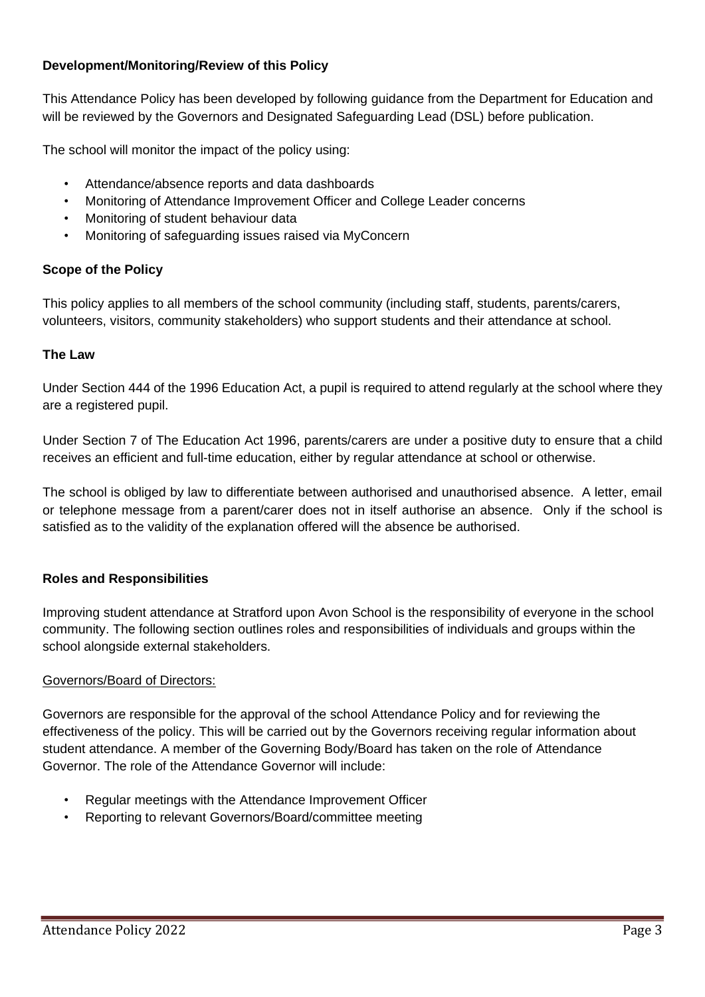## **Development/Monitoring/Review of this Policy**

This Attendance Policy has been developed by following guidance from the Department for Education and will be reviewed by the Governors and Designated Safeguarding Lead (DSL) before publication.

The school will monitor the impact of the policy using:

- Attendance/absence reports and data dashboards
- Monitoring of Attendance Improvement Officer and College Leader concerns
- Monitoring of student behaviour data
- Monitoring of safeguarding issues raised via MyConcern

## **Scope of the Policy**

This policy applies to all members of the school community (including staff, students, parents/carers, volunteers, visitors, community stakeholders) who support students and their attendance at school.

## **The Law**

Under Section 444 of the 1996 Education Act, a pupil is required to attend regularly at the school where they are a registered pupil.

Under Section 7 of The Education Act 1996, parents/carers are under a positive duty to ensure that a child receives an efficient and full-time education, either by regular attendance at school or otherwise.

The school is obliged by law to differentiate between authorised and unauthorised absence. A letter, email or telephone message from a parent/carer does not in itself authorise an absence. Only if the school is satisfied as to the validity of the explanation offered will the absence be authorised.

## **Roles and Responsibilities**

Improving student attendance at Stratford upon Avon School is the responsibility of everyone in the school community. The following section outlines roles and responsibilities of individuals and groups within the school alongside external stakeholders.

## Governors/Board of Directors:

Governors are responsible for the approval of the school Attendance Policy and for reviewing the effectiveness of the policy. This will be carried out by the Governors receiving regular information about student attendance. A member of the Governing Body/Board has taken on the role of Attendance Governor. The role of the Attendance Governor will include:

- Regular meetings with the Attendance Improvement Officer
- Reporting to relevant Governors/Board/committee meeting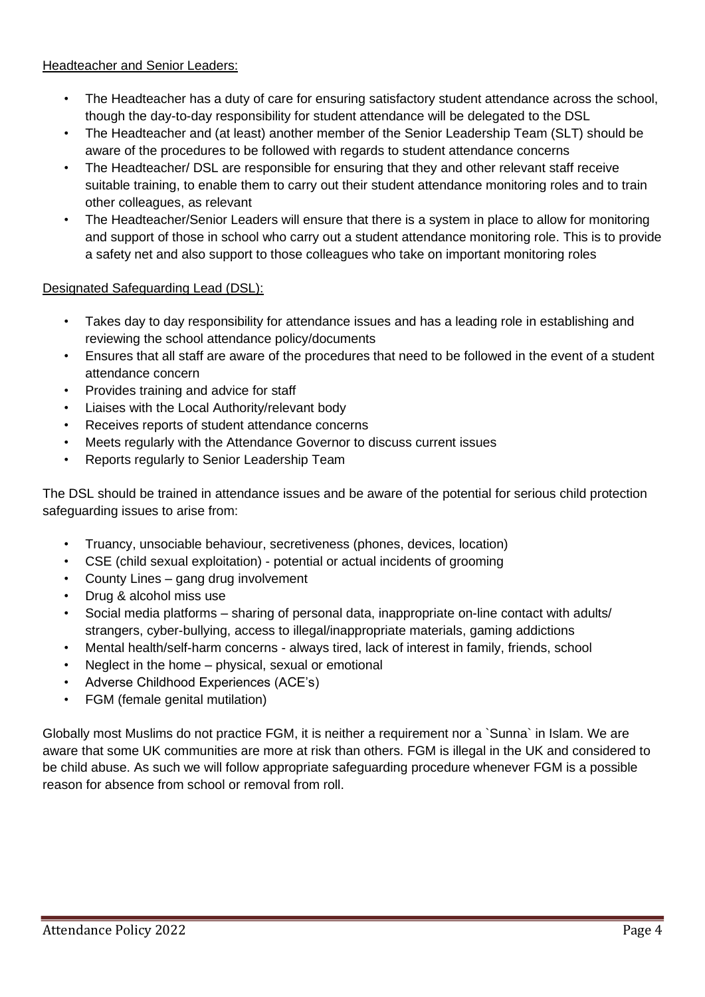Headteacher and Senior Leaders:

- The Headteacher has a duty of care for ensuring satisfactory student attendance across the school, though the day-to-day responsibility for student attendance will be delegated to the DSL
- The Headteacher and (at least) another member of the Senior Leadership Team (SLT) should be aware of the procedures to be followed with regards to student attendance concerns
- The Headteacher/ DSL are responsible for ensuring that they and other relevant staff receive suitable training, to enable them to carry out their student attendance monitoring roles and to train other colleagues, as relevant
- The Headteacher/Senior Leaders will ensure that there is a system in place to allow for monitoring and support of those in school who carry out a student attendance monitoring role. This is to provide a safety net and also support to those colleagues who take on important monitoring roles

# Designated Safeguarding Lead (DSL):

- Takes day to day responsibility for attendance issues and has a leading role in establishing and reviewing the school attendance policy/documents
- Ensures that all staff are aware of the procedures that need to be followed in the event of a student attendance concern
- Provides training and advice for staff
- Liaises with the Local Authority/relevant body
- Receives reports of student attendance concerns
- Meets regularly with the Attendance Governor to discuss current issues
- Reports regularly to Senior Leadership Team

The DSL should be trained in attendance issues and be aware of the potential for serious child protection safeguarding issues to arise from:

- Truancy, unsociable behaviour, secretiveness (phones, devices, location)
- CSE (child sexual exploitation) potential or actual incidents of grooming
- County Lines gang drug involvement
- Drug & alcohol miss use
- Social media platforms sharing of personal data, inappropriate on-line contact with adults/ strangers, cyber-bullying, access to illegal/inappropriate materials, gaming addictions
- Mental health/self-harm concerns always tired, lack of interest in family, friends, school
- Neglect in the home physical, sexual or emotional
- Adverse Childhood Experiences (ACE's)
- FGM (female genital mutilation)

Globally most Muslims do not practice FGM, it is neither a requirement nor a `Sunna` in Islam. We are aware that some UK communities are more at risk than others. FGM is illegal in the UK and considered to be child abuse. As such we will follow appropriate safeguarding procedure whenever FGM is a possible reason for absence from school or removal from roll.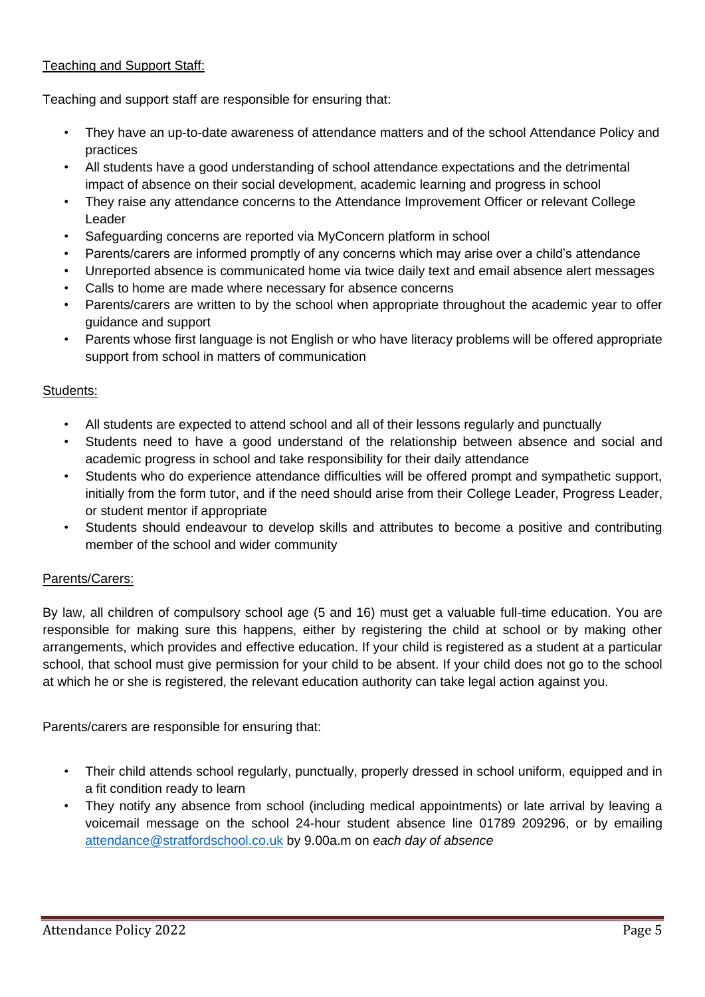# Teaching and Support Staff:

Teaching and support staff are responsible for ensuring that:

- They have an up-to-date awareness of attendance matters and of the school Attendance Policy and practices
- All students have a good understanding of school attendance expectations and the detrimental impact of absence on their social development, academic learning and progress in school
- They raise any attendance concerns to the Attendance Improvement Officer or relevant College Leader
- Safeguarding concerns are reported via MyConcern platform in school
- Parents/carers are informed promptly of any concerns which may arise over a child's attendance
- Unreported absence is communicated home via twice daily text and email absence alert messages
- Calls to home are made where necessary for absence concerns
- Parents/carers are written to by the school when appropriate throughout the academic year to offer guidance and support
- Parents whose first language is not English or who have literacy problems will be offered appropriate support from school in matters of communication

### Students:

- All students are expected to attend school and all of their lessons regularly and punctually
- Students need to have a good understand of the relationship between absence and social and academic progress in school and take responsibility for their daily attendance
- Students who do experience attendance difficulties will be offered prompt and sympathetic support, initially from the form tutor, and if the need should arise from their College Leader, Progress Leader, or student mentor if appropriate
- Students should endeavour to develop skills and attributes to become a positive and contributing member of the school and wider community

## Parents/Carers:

By law, all children of compulsory school age (5 and 16) must get a valuable full-time education. You are responsible for making sure this happens, either by registering the child at school or by making other arrangements, which provides and effective education. If your child is registered as a student at a particular school, that school must give permission for your child to be absent. If your child does not go to the school at which he or she is registered, the relevant education authority can take legal action against you.

Parents/carers are responsible for ensuring that:

- Their child attends school regularly, punctually, properly dressed in school uniform, equipped and in a fit condition ready to learn
- They notify any absence from school (including medical appointments) or late arrival by leaving a voicemail message on the school 24-hour student absence line 01789 209296, or by emailing [attendance@stratfordschool.co.uk](mailto:attendance@stratfordschool.co.uk) by 9.00a.m on *each day of absence*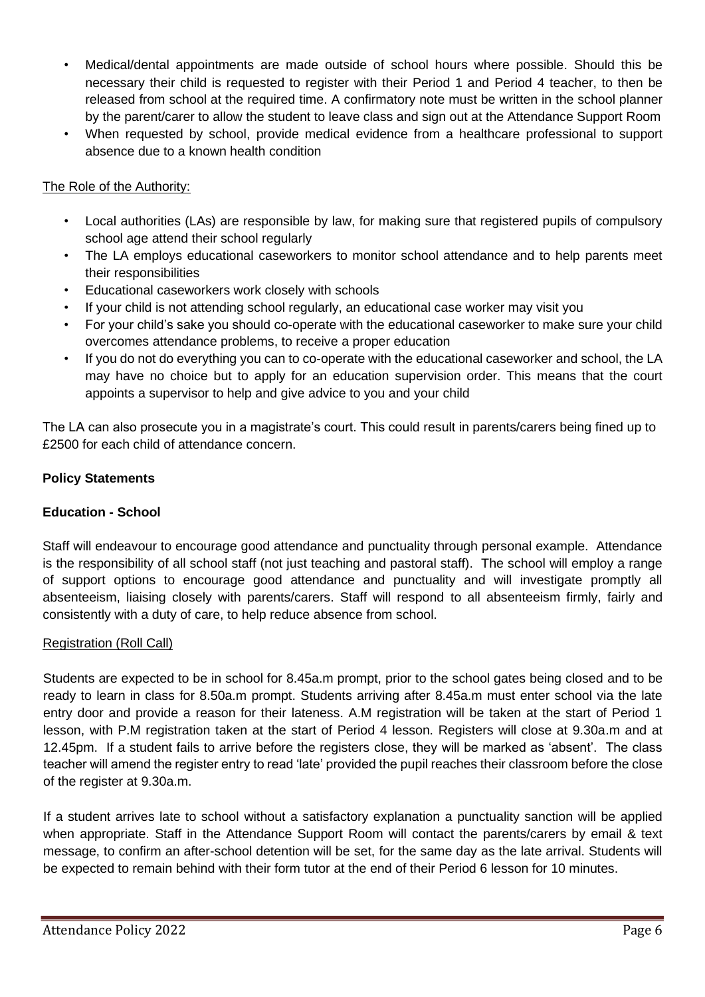- Medical/dental appointments are made outside of school hours where possible. Should this be necessary their child is requested to register with their Period 1 and Period 4 teacher, to then be released from school at the required time. A confirmatory note must be written in the school planner by the parent/carer to allow the student to leave class and sign out at the Attendance Support Room
- When requested by school, provide medical evidence from a healthcare professional to support absence due to a known health condition

## The Role of the Authority:

- Local authorities (LAs) are responsible by law, for making sure that registered pupils of compulsory school age attend their school regularly
- The LA employs educational caseworkers to monitor school attendance and to help parents meet their responsibilities
- Educational caseworkers work closely with schools
- If your child is not attending school regularly, an educational case worker may visit you
- For your child's sake you should co-operate with the educational caseworker to make sure your child overcomes attendance problems, to receive a proper education
- If you do not do everything you can to co-operate with the educational caseworker and school, the LA may have no choice but to apply for an education supervision order. This means that the court appoints a supervisor to help and give advice to you and your child

The LA can also prosecute you in a magistrate's court. This could result in parents/carers being fined up to £2500 for each child of attendance concern.

# **Policy Statements**

# **Education - School**

Staff will endeavour to encourage good attendance and punctuality through personal example. Attendance is the responsibility of all school staff (not just teaching and pastoral staff). The school will employ a range of support options to encourage good attendance and punctuality and will investigate promptly all absenteeism, liaising closely with parents/carers. Staff will respond to all absenteeism firmly, fairly and consistently with a duty of care, to help reduce absence from school.

## Registration (Roll Call)

Students are expected to be in school for 8.45a.m prompt, prior to the school gates being closed and to be ready to learn in class for 8.50a.m prompt. Students arriving after 8.45a.m must enter school via the late entry door and provide a reason for their lateness. A.M registration will be taken at the start of Period 1 lesson, with P.M registration taken at the start of Period 4 lesson. Registers will close at 9.30a.m and at 12.45pm. If a student fails to arrive before the registers close, they will be marked as 'absent'. The class teacher will amend the register entry to read 'late' provided the pupil reaches their classroom before the close of the register at 9.30a.m.

If a student arrives late to school without a satisfactory explanation a punctuality sanction will be applied when appropriate. Staff in the Attendance Support Room will contact the parents/carers by email & text message, to confirm an after-school detention will be set, for the same day as the late arrival. Students will be expected to remain behind with their form tutor at the end of their Period 6 lesson for 10 minutes.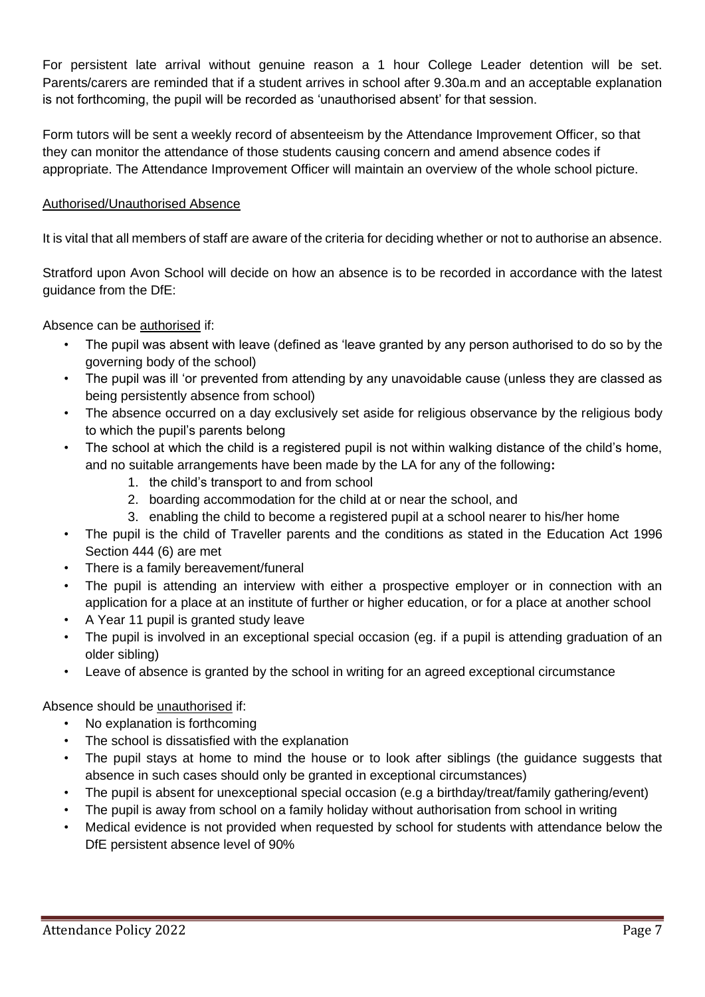For persistent late arrival without genuine reason a 1 hour College Leader detention will be set. Parents/carers are reminded that if a student arrives in school after 9.30a.m and an acceptable explanation is not forthcoming, the pupil will be recorded as 'unauthorised absent' for that session.

Form tutors will be sent a weekly record of absenteeism by the Attendance Improvement Officer, so that they can monitor the attendance of those students causing concern and amend absence codes if appropriate. The Attendance Improvement Officer will maintain an overview of the whole school picture.

## Authorised/Unauthorised Absence

It is vital that all members of staff are aware of the criteria for deciding whether or not to authorise an absence.

Stratford upon Avon School will decide on how an absence is to be recorded in accordance with the latest guidance from the DfE:

Absence can be authorised if:

- The pupil was absent with leave (defined as 'leave granted by any person authorised to do so by the governing body of the school)
- The pupil was ill 'or prevented from attending by any unavoidable cause (unless they are classed as being persistently absence from school)
- The absence occurred on a day exclusively set aside for religious observance by the religious body to which the pupil's parents belong
- The school at which the child is a registered pupil is not within walking distance of the child's home, and no suitable arrangements have been made by the LA for any of the following**:**
	- 1. the child's transport to and from school
	- 2. boarding accommodation for the child at or near the school, and
	- 3. enabling the child to become a registered pupil at a school nearer to his/her home
- The pupil is the child of Traveller parents and the conditions as stated in the Education Act 1996 Section 444 (6) are met
- There is a family bereavement/funeral
- The pupil is attending an interview with either a prospective employer or in connection with an application for a place at an institute of further or higher education, or for a place at another school
- A Year 11 pupil is granted study leave
- The pupil is involved in an exceptional special occasion (eg. if a pupil is attending graduation of an older sibling)
- Leave of absence is granted by the school in writing for an agreed exceptional circumstance

# Absence should be unauthorised if:

- No explanation is forthcoming
- The school is dissatisfied with the explanation
- The pupil stays at home to mind the house or to look after siblings (the quidance suggests that absence in such cases should only be granted in exceptional circumstances)
- The pupil is absent for unexceptional special occasion (e.g a birthday/treat/family gathering/event)
- The pupil is away from school on a family holiday without authorisation from school in writing
- Medical evidence is not provided when requested by school for students with attendance below the DfE persistent absence level of 90%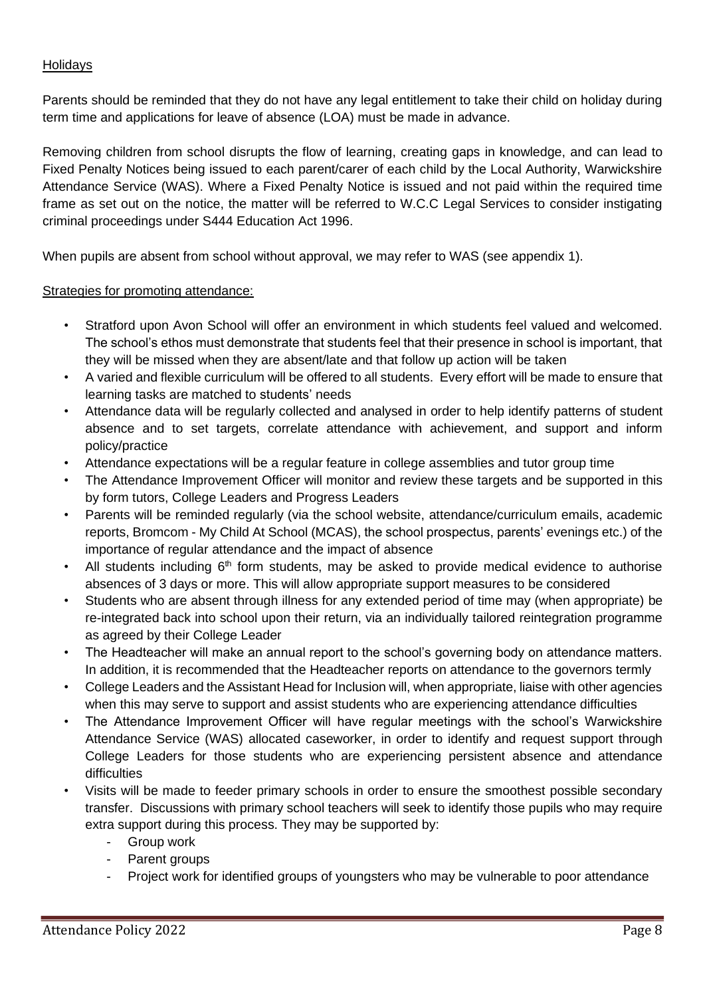## **Holidays**

Parents should be reminded that they do not have any legal entitlement to take their child on holiday during term time and applications for leave of absence (LOA) must be made in advance.

Removing children from school disrupts the flow of learning, creating gaps in knowledge, and can lead to Fixed Penalty Notices being issued to each parent/carer of each child by the Local Authority, Warwickshire Attendance Service (WAS). Where a Fixed Penalty Notice is issued and not paid within the required time frame as set out on the notice, the matter will be referred to W.C.C Legal Services to consider instigating criminal proceedings under S444 Education Act 1996.

When pupils are absent from school without approval, we may refer to WAS (see appendix 1).

### Strategies for promoting attendance:

- Stratford upon Avon School will offer an environment in which students feel valued and welcomed. The school's ethos must demonstrate that students feel that their presence in school is important, that they will be missed when they are absent/late and that follow up action will be taken
- A varied and flexible curriculum will be offered to all students. Every effort will be made to ensure that learning tasks are matched to students' needs
- Attendance data will be regularly collected and analysed in order to help identify patterns of student absence and to set targets, correlate attendance with achievement, and support and inform policy/practice
- Attendance expectations will be a regular feature in college assemblies and tutor group time
- The Attendance Improvement Officer will monitor and review these targets and be supported in this by form tutors, College Leaders and Progress Leaders
- Parents will be reminded regularly (via the school website, attendance/curriculum emails, academic reports, Bromcom - My Child At School (MCAS), the school prospectus, parents' evenings etc.) of the importance of regular attendance and the impact of absence
- All students including  $6<sup>th</sup>$  form students, may be asked to provide medical evidence to authorise absences of 3 days or more. This will allow appropriate support measures to be considered
- Students who are absent through illness for any extended period of time may (when appropriate) be re-integrated back into school upon their return, via an individually tailored reintegration programme as agreed by their College Leader
- The Headteacher will make an annual report to the school's governing body on attendance matters. In addition, it is recommended that the Headteacher reports on attendance to the governors termly
- College Leaders and the Assistant Head for Inclusion will, when appropriate, liaise with other agencies when this may serve to support and assist students who are experiencing attendance difficulties
- The Attendance Improvement Officer will have regular meetings with the school's Warwickshire Attendance Service (WAS) allocated caseworker, in order to identify and request support through College Leaders for those students who are experiencing persistent absence and attendance difficulties
- Visits will be made to feeder primary schools in order to ensure the smoothest possible secondary transfer. Discussions with primary school teachers will seek to identify those pupils who may require extra support during this process. They may be supported by:
	- Group work
	- Parent groups
	- Project work for identified groups of youngsters who may be vulnerable to poor attendance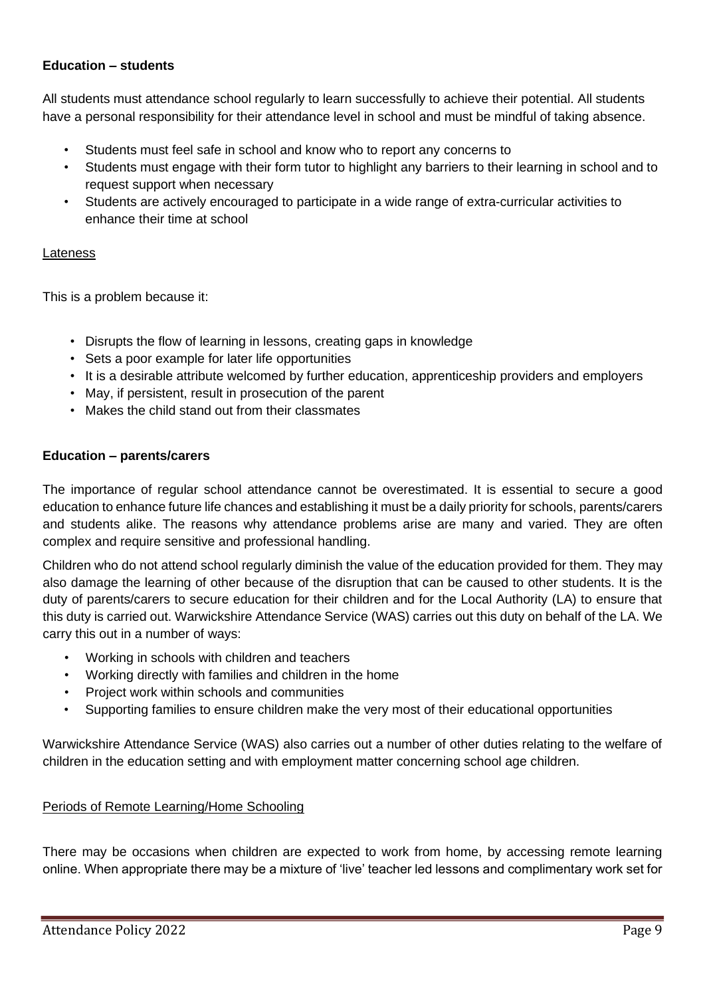### **Education – students**

All students must attendance school regularly to learn successfully to achieve their potential. All students have a personal responsibility for their attendance level in school and must be mindful of taking absence.

- Students must feel safe in school and know who to report any concerns to
- Students must engage with their form tutor to highlight any barriers to their learning in school and to request support when necessary
- Students are actively encouraged to participate in a wide range of extra-curricular activities to enhance their time at school

#### Lateness

This is a problem because it:

- Disrupts the flow of learning in lessons, creating gaps in knowledge
- Sets a poor example for later life opportunities
- It is a desirable attribute welcomed by further education, apprenticeship providers and employers
- May, if persistent, result in prosecution of the parent
- Makes the child stand out from their classmates

### **Education – parents/carers**

The importance of regular school attendance cannot be overestimated. It is essential to secure a good education to enhance future life chances and establishing it must be a daily priority for schools, parents/carers and students alike. The reasons why attendance problems arise are many and varied. They are often complex and require sensitive and professional handling.

Children who do not attend school regularly diminish the value of the education provided for them. They may also damage the learning of other because of the disruption that can be caused to other students. It is the duty of parents/carers to secure education for their children and for the Local Authority (LA) to ensure that this duty is carried out. Warwickshire Attendance Service (WAS) carries out this duty on behalf of the LA. We carry this out in a number of ways:

- Working in schools with children and teachers
- Working directly with families and children in the home
- Project work within schools and communities
- Supporting families to ensure children make the very most of their educational opportunities

Warwickshire Attendance Service (WAS) also carries out a number of other duties relating to the welfare of children in the education setting and with employment matter concerning school age children.

## Periods of Remote Learning/Home Schooling

There may be occasions when children are expected to work from home, by accessing remote learning online. When appropriate there may be a mixture of 'live' teacher led lessons and complimentary work set for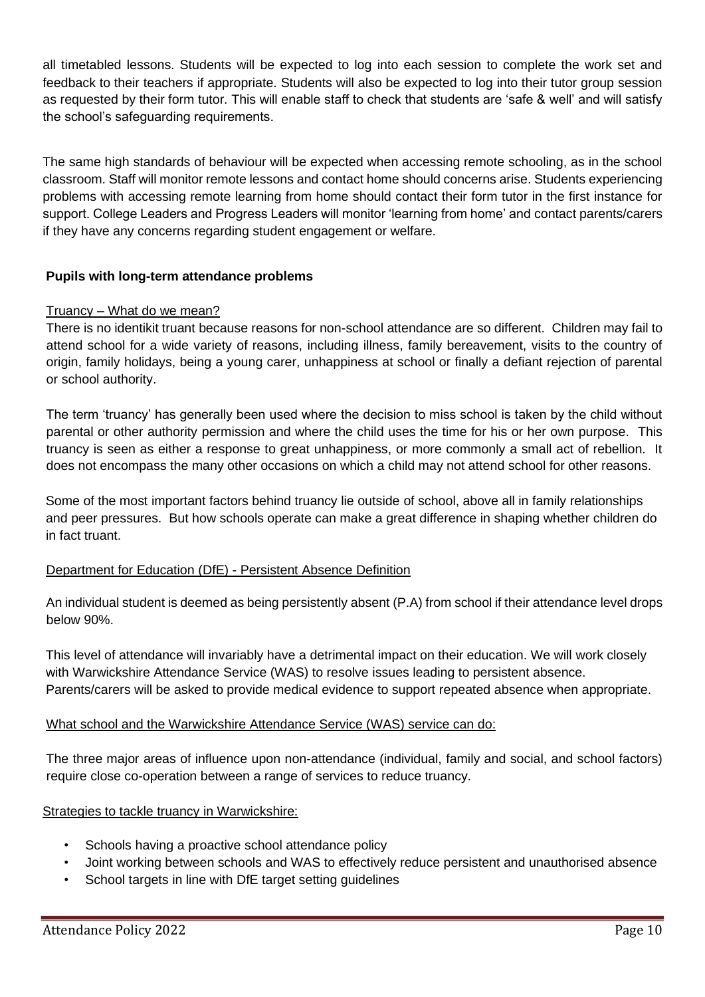all timetabled lessons. Students will be expected to log into each session to complete the work set and feedback to their teachers if appropriate. Students will also be expected to log into their tutor group session as requested by their form tutor. This will enable staff to check that students are 'safe & well' and will satisfy the school's safeguarding requirements.

The same high standards of behaviour will be expected when accessing remote schooling, as in the school classroom. Staff will monitor remote lessons and contact home should concerns arise. Students experiencing problems with accessing remote learning from home should contact their form tutor in the first instance for support. College Leaders and Progress Leaders will monitor 'learning from home' and contact parents/carers if they have any concerns regarding student engagement or welfare.

# **Pupils with long-term attendance problems**

# Truancy – What do we mean?

There is no identikit truant because reasons for non-school attendance are so different. Children may fail to attend school for a wide variety of reasons, including illness, family bereavement, visits to the country of origin, family holidays, being a young carer, unhappiness at school or finally a defiant rejection of parental or school authority.

The term 'truancy' has generally been used where the decision to miss school is taken by the child without parental or other authority permission and where the child uses the time for his or her own purpose. This truancy is seen as either a response to great unhappiness, or more commonly a small act of rebellion. It does not encompass the many other occasions on which a child may not attend school for other reasons.

Some of the most important factors behind truancy lie outside of school, above all in family relationships and peer pressures. But how schools operate can make a great difference in shaping whether children do in fact truant.

## Department for Education (DfE) - Persistent Absence Definition

An individual student is deemed as being persistently absent (P.A) from school if their attendance level drops below 90%.

This level of attendance will invariably have a detrimental impact on their education. We will work closely with Warwickshire Attendance Service (WAS) to resolve issues leading to persistent absence. Parents/carers will be asked to provide medical evidence to support repeated absence when appropriate.

## What school and the Warwickshire Attendance Service (WAS) service can do:

The three major areas of influence upon non-attendance (individual, family and social, and school factors) require close co-operation between a range of services to reduce truancy.

## Strategies to tackle truancy in Warwickshire:

- Schools having a proactive school attendance policy
- Joint working between schools and WAS to effectively reduce persistent and unauthorised absence
- School targets in line with DfE target setting guidelines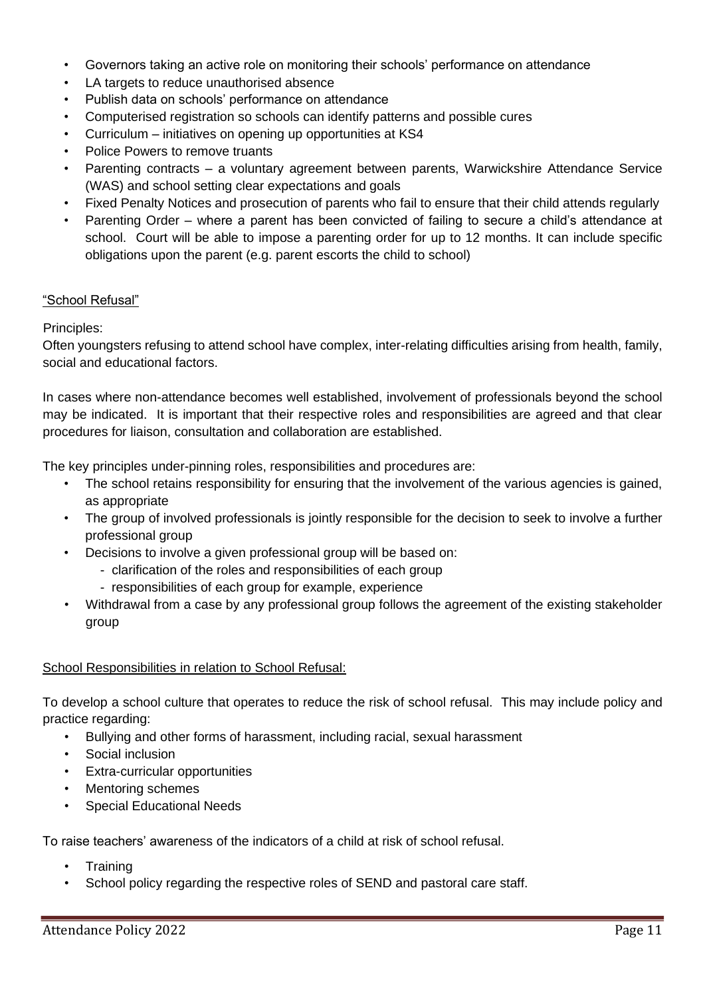- Governors taking an active role on monitoring their schools' performance on attendance
- LA targets to reduce unauthorised absence
- Publish data on schools' performance on attendance
- Computerised registration so schools can identify patterns and possible cures
- Curriculum initiatives on opening up opportunities at KS4
- Police Powers to remove truants
- Parenting contracts a voluntary agreement between parents, Warwickshire Attendance Service (WAS) and school setting clear expectations and goals
- Fixed Penalty Notices and prosecution of parents who fail to ensure that their child attends regularly
- Parenting Order where a parent has been convicted of failing to secure a child's attendance at school. Court will be able to impose a parenting order for up to 12 months. It can include specific obligations upon the parent (e.g. parent escorts the child to school)

### "School Refusal"

### Principles:

Often youngsters refusing to attend school have complex, inter-relating difficulties arising from health, family, social and educational factors.

In cases where non-attendance becomes well established, involvement of professionals beyond the school may be indicated. It is important that their respective roles and responsibilities are agreed and that clear procedures for liaison, consultation and collaboration are established.

The key principles under-pinning roles, responsibilities and procedures are:

- The school retains responsibility for ensuring that the involvement of the various agencies is gained, as appropriate
- The group of involved professionals is jointly responsible for the decision to seek to involve a further professional group
- Decisions to involve a given professional group will be based on:
	- clarification of the roles and responsibilities of each group
	- responsibilities of each group for example, experience
- Withdrawal from a case by any professional group follows the agreement of the existing stakeholder group

## School Responsibilities in relation to School Refusal:

To develop a school culture that operates to reduce the risk of school refusal. This may include policy and practice regarding:

- Bullying and other forms of harassment, including racial, sexual harassment
- Social inclusion
- Extra-curricular opportunities
- Mentoring schemes
- Special Educational Needs

To raise teachers' awareness of the indicators of a child at risk of school refusal.

- **Training**
- School policy regarding the respective roles of SEND and pastoral care staff.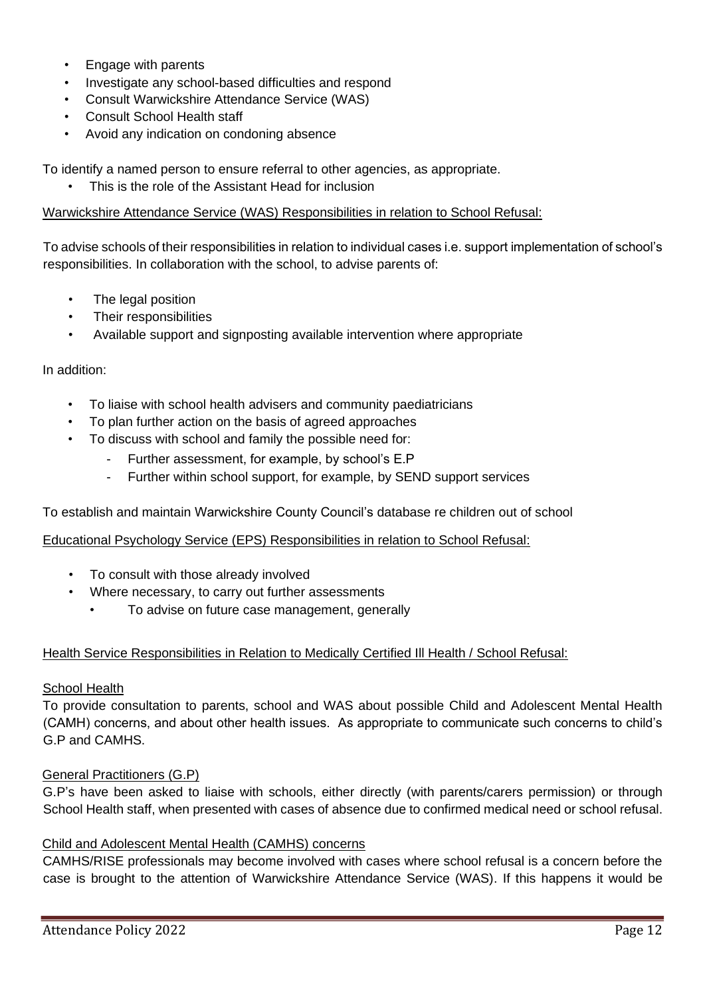- Engage with parents
- Investigate any school-based difficulties and respond
- Consult Warwickshire Attendance Service (WAS)
- Consult School Health staff
- Avoid any indication on condoning absence

To identify a named person to ensure referral to other agencies, as appropriate.

• This is the role of the Assistant Head for inclusion

#### Warwickshire Attendance Service (WAS) Responsibilities in relation to School Refusal:

To advise schools of their responsibilities in relation to individual cases i.e. support implementation of school's responsibilities. In collaboration with the school, to advise parents of:

- The legal position
- Their responsibilities
- Available support and signposting available intervention where appropriate

#### In addition:

- To liaise with school health advisers and community paediatricians
- To plan further action on the basis of agreed approaches
- To discuss with school and family the possible need for:
	- Further assessment, for example, by school's E.P
	- Further within school support, for example, by SEND support services

To establish and maintain Warwickshire County Council's database re children out of school

### Educational Psychology Service (EPS) Responsibilities in relation to School Refusal:

- To consult with those already involved
- Where necessary, to carry out further assessments
	- To advise on future case management, generally

#### Health Service Responsibilities in Relation to Medically Certified Ill Health / School Refusal:

#### School Health

To provide consultation to parents, school and WAS about possible Child and Adolescent Mental Health (CAMH) concerns, and about other health issues. As appropriate to communicate such concerns to child's G.P and CAMHS.

#### General Practitioners (G.P)

G.P's have been asked to liaise with schools, either directly (with parents/carers permission) or through School Health staff, when presented with cases of absence due to confirmed medical need or school refusal.

#### Child and Adolescent Mental Health (CAMHS) concerns

CAMHS/RISE professionals may become involved with cases where school refusal is a concern before the case is brought to the attention of Warwickshire Attendance Service (WAS). If this happens it would be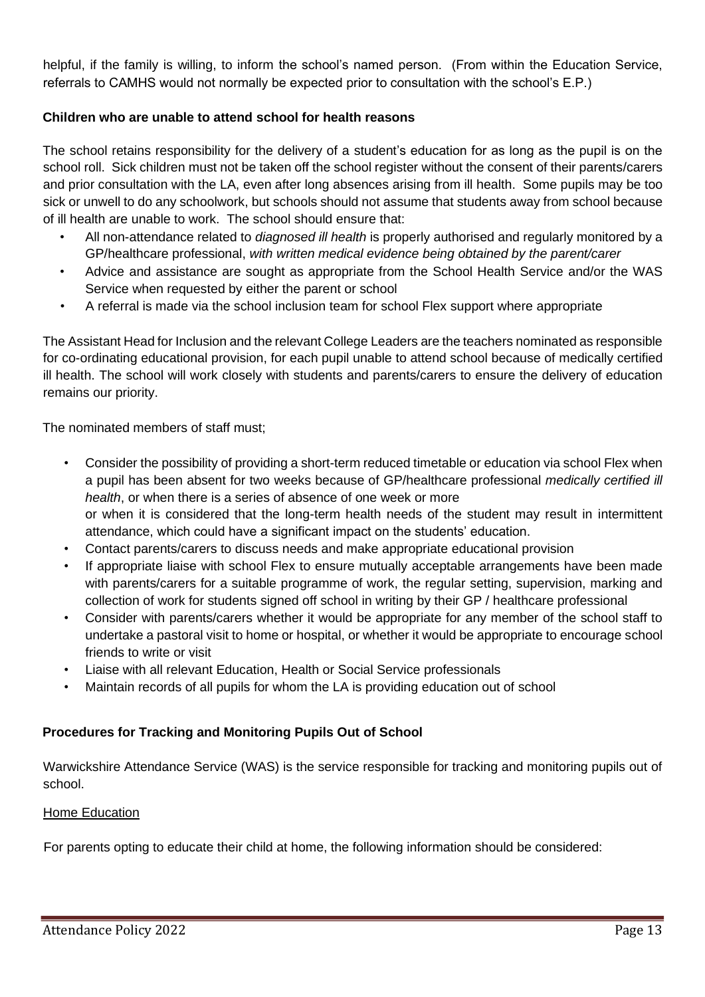helpful, if the family is willing, to inform the school's named person. (From within the Education Service, referrals to CAMHS would not normally be expected prior to consultation with the school's E.P.)

## **Children who are unable to attend school for health reasons**

The school retains responsibility for the delivery of a student's education for as long as the pupil is on the school roll. Sick children must not be taken off the school register without the consent of their parents/carers and prior consultation with the LA, even after long absences arising from ill health. Some pupils may be too sick or unwell to do any schoolwork, but schools should not assume that students away from school because of ill health are unable to work. The school should ensure that:

- All non-attendance related to *diagnosed ill health* is properly authorised and regularly monitored by a GP/healthcare professional, *with written medical evidence being obtained by the parent/carer*
- Advice and assistance are sought as appropriate from the School Health Service and/or the WAS Service when requested by either the parent or school
- A referral is made via the school inclusion team for school Flex support where appropriate

The Assistant Head for Inclusion and the relevant College Leaders are the teachers nominated as responsible for co-ordinating educational provision, for each pupil unable to attend school because of medically certified ill health. The school will work closely with students and parents/carers to ensure the delivery of education remains our priority.

The nominated members of staff must;

- Consider the possibility of providing a short-term reduced timetable or education via school Flex when a pupil has been absent for two weeks because of GP/healthcare professional *medically certified ill health*, or when there is a series of absence of one week or more or when it is considered that the long-term health needs of the student may result in intermittent attendance, which could have a significant impact on the students' education.
- Contact parents/carers to discuss needs and make appropriate educational provision
- If appropriate liaise with school Flex to ensure mutually acceptable arrangements have been made with parents/carers for a suitable programme of work, the regular setting, supervision, marking and collection of work for students signed off school in writing by their GP / healthcare professional
- Consider with parents/carers whether it would be appropriate for any member of the school staff to undertake a pastoral visit to home or hospital, or whether it would be appropriate to encourage school friends to write or visit
- Liaise with all relevant Education, Health or Social Service professionals
- Maintain records of all pupils for whom the LA is providing education out of school

## **Procedures for Tracking and Monitoring Pupils Out of School**

Warwickshire Attendance Service (WAS) is the service responsible for tracking and monitoring pupils out of school.

#### Home Education

For parents opting to educate their child at home, the following information should be considered: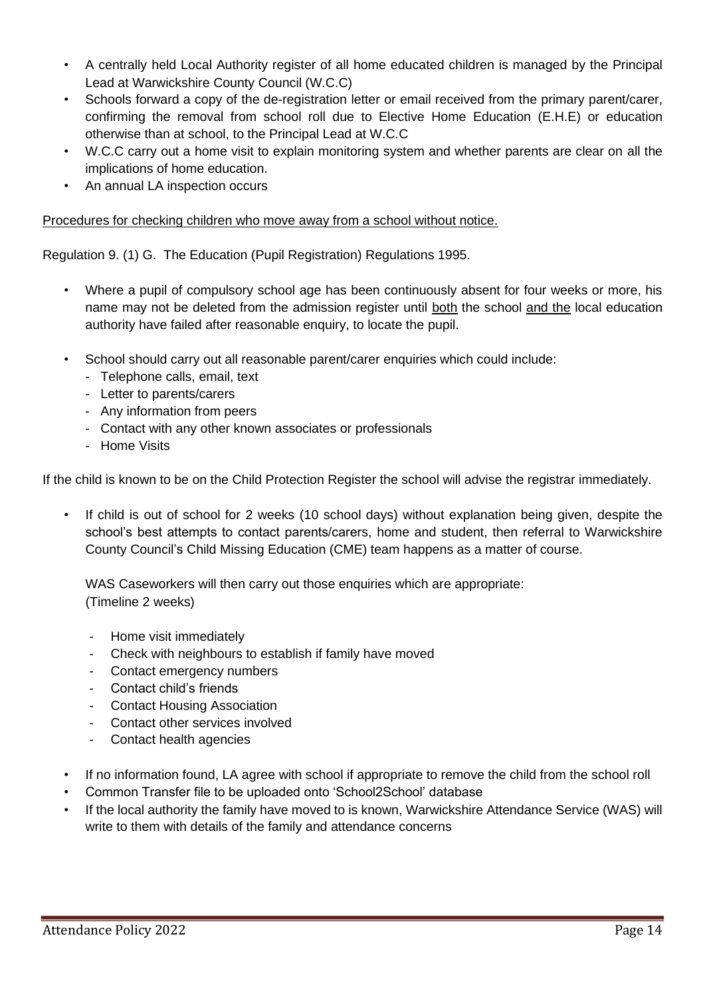- A centrally held Local Authority register of all home educated children is managed by the Principal Lead at Warwickshire County Council (W.C.C)
- Schools forward a copy of the de-registration letter or email received from the primary parent/carer, confirming the removal from school roll due to Elective Home Education (E.H.E) or education otherwise than at school, to the Principal Lead at W.C.C
- W.C.C carry out a home visit to explain monitoring system and whether parents are clear on all the implications of home education.
- An annual LA inspection occurs

## Procedures for checking children who move away from a school without notice.

Regulation 9. (1) G. The Education (Pupil Registration) Regulations 1995.

- Where a pupil of compulsory school age has been continuously absent for four weeks or more, his name may not be deleted from the admission register until both the school and the local education authority have failed after reasonable enquiry, to locate the pupil.
- School should carry out all reasonable parent/carer enquiries which could include:
	- Telephone calls, email, text
	- Letter to parents/carers
	- Any information from peers
	- Contact with any other known associates or professionals
	- Home Visits

If the child is known to be on the Child Protection Register the school will advise the registrar immediately.

If child is out of school for 2 weeks (10 school days) without explanation being given, despite the school's best attempts to contact parents/carers, home and student, then referral to Warwickshire County Council's Child Missing Education (CME) team happens as a matter of course.

WAS Caseworkers will then carry out those enquiries which are appropriate: (Timeline 2 weeks)

- Home visit immediately
- Check with neighbours to establish if family have moved
- Contact emergency numbers
- Contact child's friends
- Contact Housing Association
- Contact other services involved
- Contact health agencies
- If no information found, LA agree with school if appropriate to remove the child from the school roll
- Common Transfer file to be uploaded onto 'School2School' database
- If the local authority the family have moved to is known, Warwickshire Attendance Service (WAS) will write to them with details of the family and attendance concerns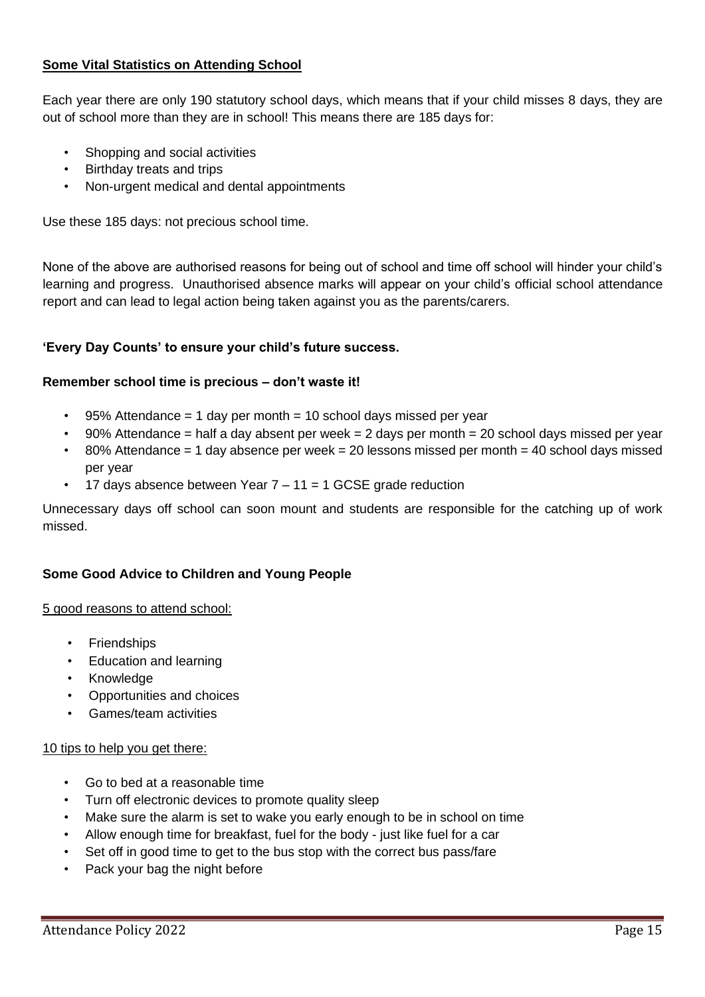# **Some Vital Statistics on Attending School**

Each year there are only 190 statutory school days, which means that if your child misses 8 days, they are out of school more than they are in school! This means there are 185 days for:

- Shopping and social activities
- Birthday treats and trips
- Non-urgent medical and dental appointments

Use these 185 days: not precious school time.

None of the above are authorised reasons for being out of school and time off school will hinder your child's learning and progress. Unauthorised absence marks will appear on your child's official school attendance report and can lead to legal action being taken against you as the parents/carers.

#### **'Every Day Counts' to ensure your child's future success.**

#### **Remember school time is precious – don't waste it!**

- $\cdot$  95% Attendance = 1 day per month = 10 school days missed per year
- $\cdot$  90% Attendance = half a day absent per week = 2 days per month = 20 school days missed per year
- $\cdot$  80% Attendance = 1 day absence per week = 20 lessons missed per month = 40 school days missed per year
- 17 days absence between Year  $7 11 = 1$  GCSE grade reduction

Unnecessary days off school can soon mount and students are responsible for the catching up of work missed.

#### **Some Good Advice to Children and Young People**

#### 5 good reasons to attend school:

- Friendships
- Education and learning
- Knowledge
- Opportunities and choices
- Games/team activities

#### 10 tips to help you get there:

- Go to bed at a reasonable time
- Turn off electronic devices to promote quality sleep
- Make sure the alarm is set to wake you early enough to be in school on time
- Allow enough time for breakfast, fuel for the body just like fuel for a car
- Set off in good time to get to the bus stop with the correct bus pass/fare
- Pack your bag the night before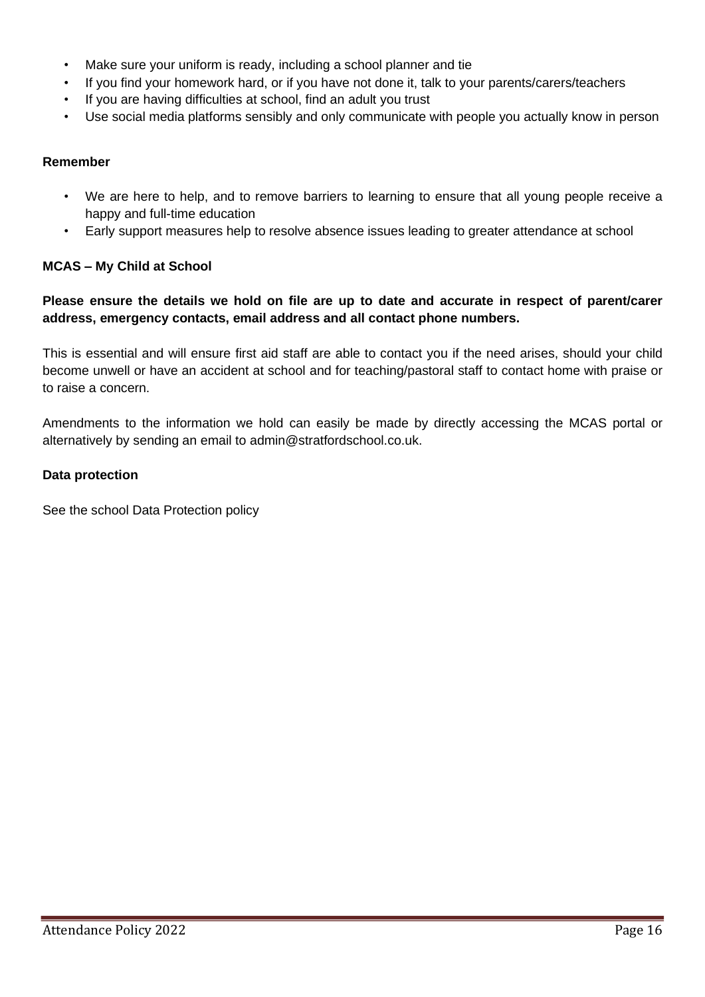- Make sure your uniform is ready, including a school planner and tie
- If you find your homework hard, or if you have not done it, talk to your parents/carers/teachers
- If you are having difficulties at school, find an adult you trust
- Use social media platforms sensibly and only communicate with people you actually know in person

### **Remember**

- We are here to help, and to remove barriers to learning to ensure that all young people receive a happy and full-time education
- Early support measures help to resolve absence issues leading to greater attendance at school

## **MCAS – My Child at School**

## **Please ensure the details we hold on file are up to date and accurate in respect of parent/carer address, emergency contacts, email address and all contact phone numbers.**

This is essential and will ensure first aid staff are able to contact you if the need arises, should your child become unwell or have an accident at school and for teaching/pastoral staff to contact home with praise or to raise a concern.

Amendments to the information we hold can easily be made by directly accessing the MCAS portal or alternatively by sending an email to admin@stratfordschool.co.uk.

#### **Data protection**

See the school Data Protection policy